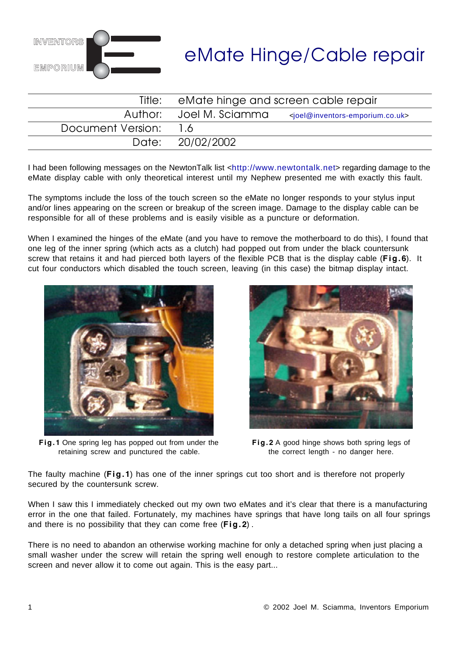

# eMate Hinge/Cable repair

|                   | Title: eMate hinge and screen cable repair |                                                                 |
|-------------------|--------------------------------------------|-----------------------------------------------------------------|
|                   | Author: Joel M. Sciamma                    | <joel@inventors-emporium.co.uk></joel@inventors-emporium.co.uk> |
| Document Version: | 16                                         |                                                                 |
|                   | Date: 20/02/2002                           |                                                                 |

I had been following messages on the NewtonTalk list <http://www.newtontalk.net> regarding damage to the eMate display cable with only theoretical interest until my Nephew presented me with exactly this fault.

The symptoms include the loss of the touch screen so the eMate no longer responds to your stylus input and/or lines appearing on the screen or breakup of the screen image. Damage to the display cable can be responsible for all of these problems and is easily visible as a puncture or deformation.

When I examined the hinges of the eMate (and you have to remove the motherboard to do this), I found that one leg of the inner spring (which acts as a clutch) had popped out from under the black countersunk screw that retains it and had pierced both layers of the flexible PCB that is the display cable (**Fig.6**). It cut four conductors which disabled the touch screen, leaving (in this case) the bitmap display intact.



**Fig.1** One spring leg has popped out from under the retaining screw and punctured the cable.



**Fig.2** A good hinge shows both spring legs of the correct length - no danger here.

The faulty machine (**Fig.1**) has one of the inner springs cut too short and is therefore not properly secured by the countersunk screw.

When I saw this I immediately checked out my own two eMates and it's clear that there is a manufacturing error in the one that failed. Fortunately, my machines have springs that have long tails on all four springs and there is no possibility that they can come free (**Fig.2**) .

There is no need to abandon an otherwise working machine for only a detached spring when just placing a small washer under the screw will retain the spring well enough to restore complete articulation to the screen and never allow it to come out again. This is the easy part...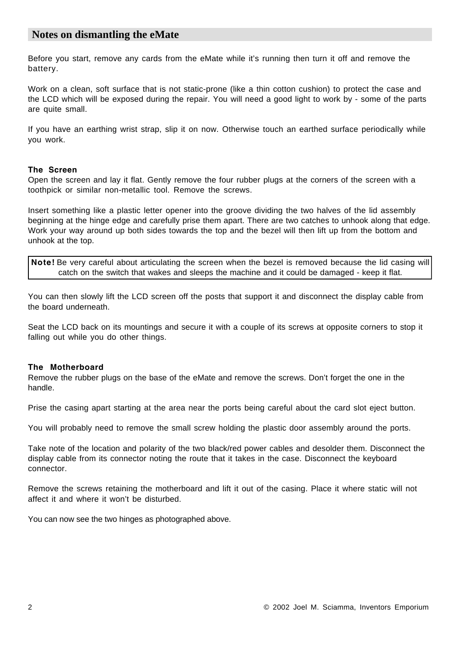## **Notes on dismantling the eMate**

Before you start, remove any cards from the eMate while it's running then turn it off and remove the battery.

Work on a clean, soft surface that is not static-prone (like a thin cotton cushion) to protect the case and the LCD which will be exposed during the repair. You will need a good light to work by - some of the parts are quite small.

If you have an earthing wrist strap, slip it on now. Otherwise touch an earthed surface periodically while you work.

### **The Screen**

Open the screen and lay it flat. Gently remove the four rubber plugs at the corners of the screen with a toothpick or similar non-metallic tool. Remove the screws.

Insert something like a plastic letter opener into the groove dividing the two halves of the lid assembly beginning at the hinge edge and carefully prise them apart. There are two catches to unhook along that edge. Work your way around up both sides towards the top and the bezel will then lift up from the bottom and unhook at the top.

**Note!** Be very careful about articulating the screen when the bezel is removed because the lid casing will catch on the switch that wakes and sleeps the machine and it could be damaged - keep it flat.

You can then slowly lift the LCD screen off the posts that support it and disconnect the display cable from the board underneath.

Seat the LCD back on its mountings and secure it with a couple of its screws at opposite corners to stop it falling out while you do other things.

### **The Motherboard**

Remove the rubber plugs on the base of the eMate and remove the screws. Don't forget the one in the handle.

Prise the casing apart starting at the area near the ports being careful about the card slot eject button.

You will probably need to remove the small screw holding the plastic door assembly around the ports.

Take note of the location and polarity of the two black/red power cables and desolder them. Disconnect the display cable from its connector noting the route that it takes in the case. Disconnect the keyboard connector.

Remove the screws retaining the motherboard and lift it out of the casing. Place it where static will not affect it and where it won't be disturbed.

You can now see the two hinges as photographed above.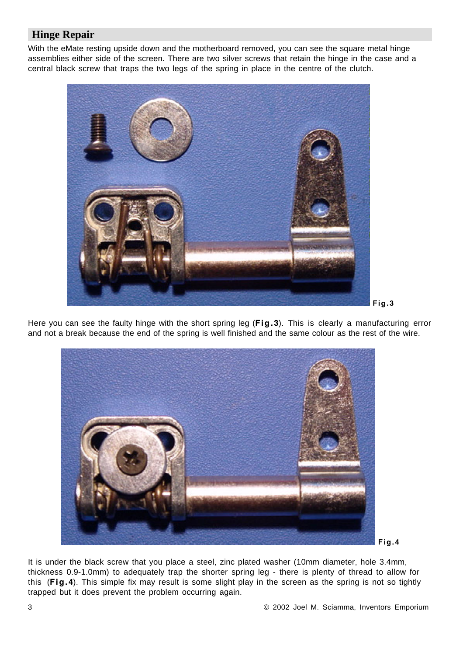# **Hinge Repair**

With the eMate resting upside down and the motherboard removed, you can see the square metal hinge assemblies either side of the screen. There are two silver screws that retain the hinge in the case and a central black screw that traps the two legs of the spring in place in the centre of the clutch.



Here you can see the faulty hinge with the short spring leg (**Fig.3**). This is clearly a manufacturing error and not a break because the end of the spring is well finished and the same colour as the rest of the wire.



It is under the black screw that you place a steel, zinc plated washer (10mm diameter, hole 3.4mm, thickness 0.9-1.0mm) to adequately trap the shorter spring leg - there is plenty of thread to allow for this (**Fig.4**). This simple fix may result is some slight play in the screen as the spring is not so tightly trapped but it does prevent the problem occurring again.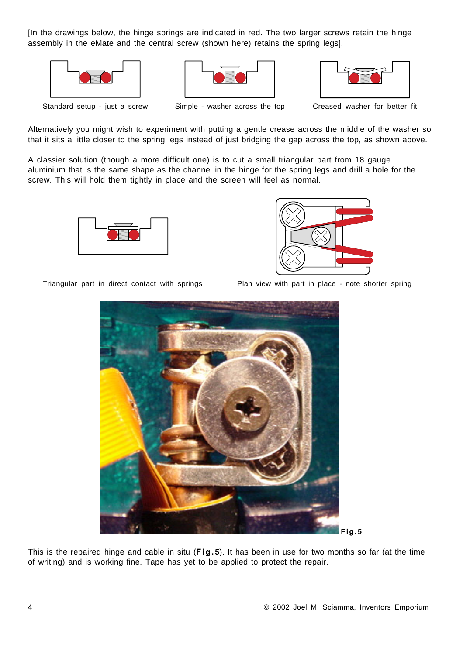[In the drawings below, the hinge springs are indicated in red. The two larger screws retain the hinge assembly in the eMate and the central screw (shown here) retains the spring legs].







Standard setup - just a screw Simple - washer across the top Creased washer for better fit

Alternatively you might wish to experiment with putting a gentle crease across the middle of the washer so that it sits a little closer to the spring legs instead of just bridging the gap across the top, as shown above.

A classier solution (though a more difficult one) is to cut a small triangular part from 18 gauge aluminium that is the same shape as the channel in the hinge for the spring legs and drill a hole for the screw. This will hold them tightly in place and the screen will feel as normal.





Triangular part in direct contact with springs Plan view with part in place - note shorter spring



This is the repaired hinge and cable in situ (**Fig.5**). It has been in use for two months so far (at the time of writing) and is working fine. Tape has yet to be applied to protect the repair.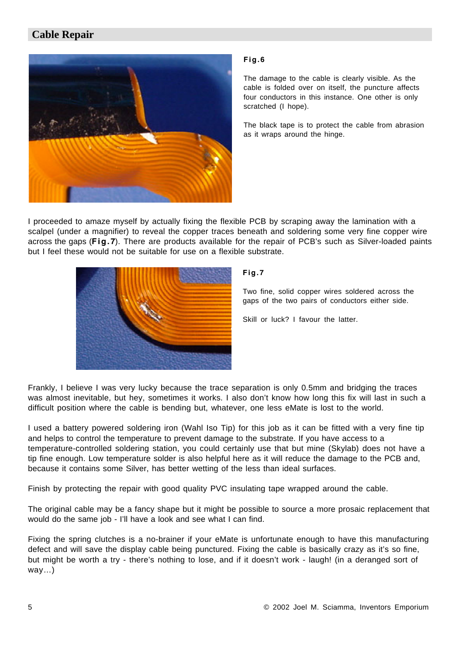# **Cable Repair**



### **Fig.6**

The damage to the cable is clearly visible. As the cable is folded over on itself, the puncture affects four conductors in this instance. One other is only scratched (I hope).

The black tape is to protect the cable from abrasion as it wraps around the hinge.

I proceeded to amaze myself by actually fixing the flexible PCB by scraping away the lamination with a scalpel (under a magnifier) to reveal the copper traces beneath and soldering some very fine copper wire across the gaps (**Fig.7**). There are products available for the repair of PCB's such as Silver-loaded paints but I feel these would not be suitable for use on a flexible substrate.



## **Fig.7**

Two fine, solid copper wires soldered across the gaps of the two pairs of conductors either side.

Skill or luck? I favour the latter.

Frankly, I believe I was very lucky because the trace separation is only 0.5mm and bridging the traces was almost inevitable, but hey, sometimes it works. I also don't know how long this fix will last in such a difficult position where the cable is bending but, whatever, one less eMate is lost to the world.

I used a battery powered soldering iron (Wahl Iso Tip) for this job as it can be fitted with a very fine tip and helps to control the temperature to prevent damage to the substrate. If you have access to a temperature-controlled soldering station, you could certainly use that but mine (Skylab) does not have a tip fine enough. Low temperature solder is also helpful here as it will reduce the damage to the PCB and, because it contains some Silver, has better wetting of the less than ideal surfaces.

Finish by protecting the repair with good quality PVC insulating tape wrapped around the cable.

The original cable may be a fancy shape but it might be possible to source a more prosaic replacement that would do the same job - I'll have a look and see what I can find.

Fixing the spring clutches is a no-brainer if your eMate is unfortunate enough to have this manufacturing defect and will save the display cable being punctured. Fixing the cable is basically crazy as it's so fine, but might be worth a try - there's nothing to lose, and if it doesn't work - laugh! (in a deranged sort of way…)